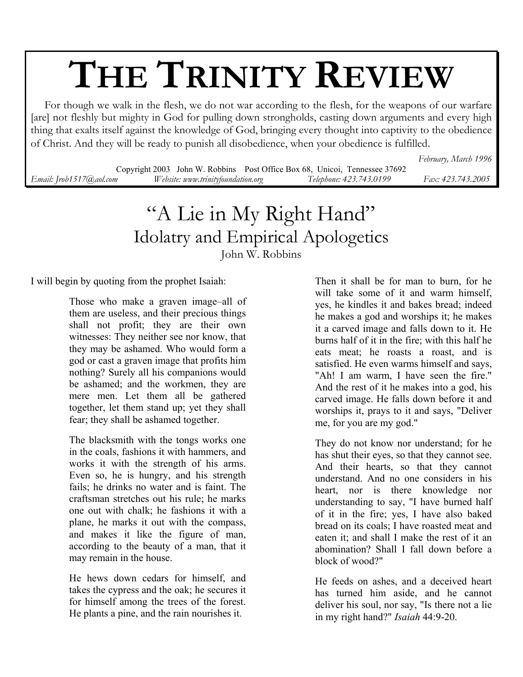# **THE TRINITY REVIEW**

 For though we walk in the flesh, we do not war according to the flesh, for the weapons of our warfare [are] not fleshly but mighty in God for pulling down strongholds, casting down arguments and every high thing that exalts itself against the knowledge of God, bringing every thought into captivity to the obedience of Christ. And they will be ready to punish all disobedience, when your obedience is fulfilled.

*February, March 1996* 

Copyright 2003 John W. Robbins Post Office Box 68, Unicoi, Tennessee 37692 *Email: Jrob1517@aol.com Website: www.trinityfoundation.org Telephone: 423.743.0199 Fax: 423.743.2005*

## "A Lie in My Right Hand" Idolatry and Empirical Apologetics John W. Robbins

I will begin by quoting from the prophet Isaiah:

Those who make a graven image–all of them are useless, and their precious things shall not profit; they are their own witnesses: They neither see nor know, that they may be ashamed. Who would form a god or cast a graven image that profits him nothing? Surely all his companions would be ashamed; and the workmen, they are mere men. Let them all be gathered together, let them stand up; yet they shall fear; they shall be ashamed together.

The blacksmith with the tongs works one in the coals, fashions it with hammers, and works it with the strength of his arms. Even so, he is hungry, and his strength fails; he drinks no water and is faint. The craftsman stretches out his rule; he marks one out with chalk; he fashions it with a plane, he marks it out with the compass, and makes it like the figure of man, according to the beauty of a man, that it may remain in the house.

He hews down cedars for himself, and takes the cypress and the oak; he secures it for himself among the trees of the forest. He plants a pine, and the rain nourishes it.

Then it shall be for man to burn, for he will take some of it and warm himself. yes, he kindles it and bakes bread; indeed he makes a god and worships it; he makes it a carved image and falls down to it. He burns half of it in the fire; with this half he eats meat; he roasts a roast, and is satisfied. He even warms himself and says, "Ah! I am warm, I have seen the fire." And the rest of it he makes into a god, his carved image. He falls down before it and worships it, prays to it and says, "Deliver me, for you are my god."

They do not know nor understand; for he has shut their eyes, so that they cannot see. And their hearts, so that they cannot understand. And no one considers in his heart, nor is there knowledge nor understanding to say, "I have burned half of it in the fire; yes, I have also baked bread on its coals; I have roasted meat and eaten it; and shall I make the rest of it an abomination? Shall I fall down before a block of wood?"

He feeds on ashes, and a deceived heart has turned him aside, and he cannot deliver his soul, nor say, "Is there not a lie in my right hand?" *Isaiah* 44:9-20.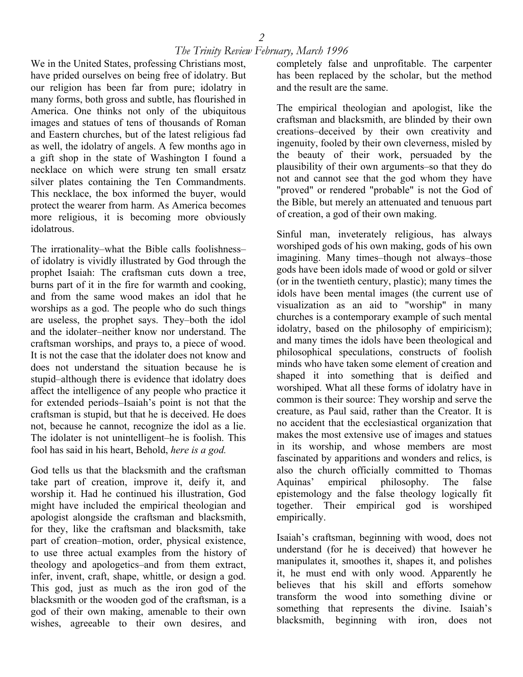We in the United States, professing Christians most, have prided ourselves on being free of idolatry. But our religion has been far from pure; idolatry in many forms, both gross and subtle, has flourished in America. One thinks not only of the ubiquitous images and statues of tens of thousands of Roman and Eastern churches, but of the latest religious fad as well, the idolatry of angels. A few months ago in a gift shop in the state of Washington I found a necklace on which were strung ten small ersatz silver plates containing the Ten Commandments. This necklace, the box informed the buyer, would protect the wearer from harm. As America becomes more religious, it is becoming more obviously idolatrous.

The irrationality–what the Bible calls foolishness– of idolatry is vividly illustrated by God through the prophet Isaiah: The craftsman cuts down a tree, burns part of it in the fire for warmth and cooking, and from the same wood makes an idol that he worships as a god. The people who do such things are useless, the prophet says. They–both the idol and the idolater–neither know nor understand. The craftsman worships, and prays to, a piece of wood. It is not the case that the idolater does not know and does not understand the situation because he is stupid–although there is evidence that idolatry does affect the intelligence of any people who practice it for extended periods–Isaiah's point is not that the craftsman is stupid, but that he is deceived. He does not, because he cannot, recognize the idol as a lie. The idolater is not unintelligent–he is foolish. This fool has said in his heart, Behold, *here is a god.* 

God tells us that the blacksmith and the craftsman take part of creation, improve it, deify it, and worship it. Had he continued his illustration, God might have included the empirical theologian and apologist alongside the craftsman and blacksmith, for they, like the craftsman and blacksmith, take part of creation–motion, order, physical existence, to use three actual examples from the history of theology and apologetics–and from them extract, infer, invent, craft, shape, whittle, or design a god. This god, just as much as the iron god of the blacksmith or the wooden god of the craftsman, is a god of their own making, amenable to their own wishes, agreeable to their own desires, and

completely false and unprofitable. The carpenter has been replaced by the scholar, but the method and the result are the same.

The empirical theologian and apologist, like the craftsman and blacksmith, are blinded by their own creations–deceived by their own creativity and ingenuity, fooled by their own cleverness, misled by the beauty of their work, persuaded by the plausibility of their own arguments–so that they do not and cannot see that the god whom they have "proved" or rendered "probable" is not the God of the Bible, but merely an attenuated and tenuous part of creation, a god of their own making.

Sinful man, inveterately religious, has always worshiped gods of his own making, gods of his own imagining. Many times–though not always–those gods have been idols made of wood or gold or silver (or in the twentieth century, plastic); many times the idols have been mental images (the current use of visualization as an aid to "worship" in many churches is a contemporary example of such mental idolatry, based on the philosophy of empiricism); and many times the idols have been theological and philosophical speculations, constructs of foolish minds who have taken some element of creation and shaped it into something that is deified and worshiped. What all these forms of idolatry have in common is their source: They worship and serve the creature, as Paul said, rather than the Creator. It is no accident that the ecclesiastical organization that makes the most extensive use of images and statues in its worship, and whose members are most fascinated by apparitions and wonders and relics, is also the church officially committed to Thomas Aquinas' empirical philosophy. The false epistemology and the false theology logically fit together. Their empirical god is worshiped empirically.

Isaiah's craftsman, beginning with wood, does not understand (for he is deceived) that however he manipulates it, smoothes it, shapes it, and polishes it, he must end with only wood. Apparently he believes that his skill and efforts somehow transform the wood into something divine or something that represents the divine. Isaiah's blacksmith, beginning with iron, does not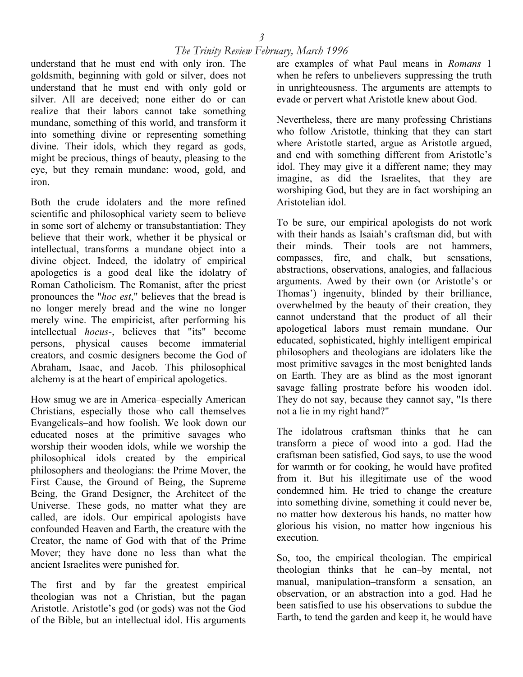understand that he must end with only iron. The goldsmith, beginning with gold or silver, does not understand that he must end with only gold or silver. All are deceived; none either do or can realize that their labors cannot take something mundane, something of this world, and transform it into something divine or representing something divine. Their idols, which they regard as gods, might be precious, things of beauty, pleasing to the eye, but they remain mundane: wood, gold, and iron.

Both the crude idolaters and the more refined scientific and philosophical variety seem to believe in some sort of alchemy or transubstantiation: They believe that their work, whether it be physical or intellectual, transforms a mundane object into a divine object. Indeed, the idolatry of empirical apologetics is a good deal like the idolatry of Roman Catholicism. The Romanist, after the priest pronounces the "*hoc est*," believes that the bread is no longer merely bread and the wine no longer merely wine. The empiricist, after performing his intellectual *hocus-*, believes that "its" become persons, physical causes become immaterial creators, and cosmic designers become the God of Abraham, Isaac, and Jacob. This philosophical alchemy is at the heart of empirical apologetics.

How smug we are in America–especially American Christians, especially those who call themselves Evangelicals–and how foolish. We look down our educated noses at the primitive savages who worship their wooden idols, while we worship the philosophical idols created by the empirical philosophers and theologians: the Prime Mover, the First Cause, the Ground of Being, the Supreme Being, the Grand Designer, the Architect of the Universe. These gods, no matter what they are called, are idols. Our empirical apologists have confounded Heaven and Earth, the creature with the Creator, the name of God with that of the Prime Mover; they have done no less than what the ancient Israelites were punished for.

The first and by far the greatest empirical theologian was not a Christian, but the pagan Aristotle. Aristotle's god (or gods) was not the God of the Bible, but an intellectual idol. His arguments

are examples of what Paul means in *Romans* 1 when he refers to unbelievers suppressing the truth in unrighteousness. The arguments are attempts to evade or pervert what Aristotle knew about God.

Nevertheless, there are many professing Christians who follow Aristotle, thinking that they can start where Aristotle started, argue as Aristotle argued, and end with something different from Aristotle's idol. They may give it a different name; they may imagine, as did the Israelites, that they are worshiping God, but they are in fact worshiping an Aristotelian idol.

To be sure, our empirical apologists do not work with their hands as Isaiah's craftsman did, but with their minds. Their tools are not hammers, compasses, fire, and chalk, but sensations, abstractions, observations, analogies, and fallacious arguments. Awed by their own (or Aristotle's or Thomas') ingenuity, blinded by their brilliance, overwhelmed by the beauty of their creation, they cannot understand that the product of all their apologetical labors must remain mundane. Our educated, sophisticated, highly intelligent empirical philosophers and theologians are idolaters like the most primitive savages in the most benighted lands on Earth. They are as blind as the most ignorant savage falling prostrate before his wooden idol. They do not say, because they cannot say, "Is there not a lie in my right hand?"

The idolatrous craftsman thinks that he can transform a piece of wood into a god. Had the craftsman been satisfied, God says, to use the wood for warmth or for cooking, he would have profited from it. But his illegitimate use of the wood condemned him. He tried to change the creature into something divine, something it could never be, no matter how dexterous his hands, no matter how glorious his vision, no matter how ingenious his execution.

So, too, the empirical theologian. The empirical theologian thinks that he can–by mental, not manual, manipulation–transform a sensation, an observation, or an abstraction into a god. Had he been satisfied to use his observations to subdue the Earth, to tend the garden and keep it, he would have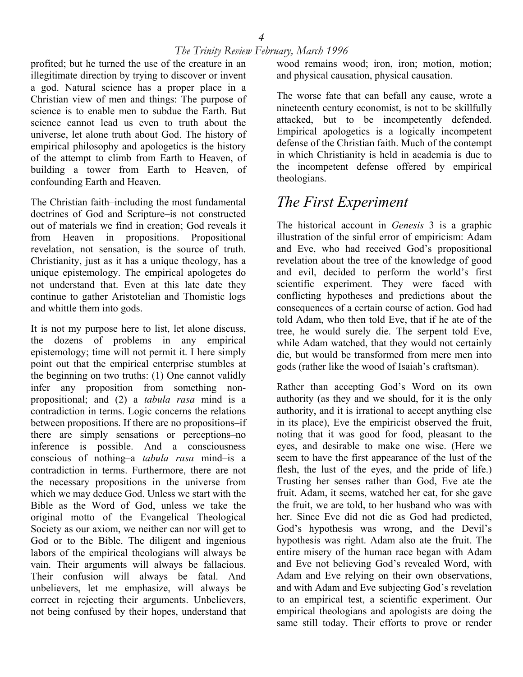profited; but he turned the use of the creature in an illegitimate direction by trying to discover or invent a god. Natural science has a proper place in a Christian view of men and things: The purpose of science is to enable men to subdue the Earth. But science cannot lead us even to truth about the universe, let alone truth about God. The history of empirical philosophy and apologetics is the history of the attempt to climb from Earth to Heaven, of building a tower from Earth to Heaven, of confounding Earth and Heaven.

The Christian faith–including the most fundamental doctrines of God and Scripture–is not constructed out of materials we find in creation; God reveals it from Heaven in propositions. Propositional revelation, not sensation, is the source of truth. Christianity, just as it has a unique theology, has a unique epistemology. The empirical apologetes do not understand that. Even at this late date they continue to gather Aristotelian and Thomistic logs and whittle them into gods.

It is not my purpose here to list, let alone discuss, the dozens of problems in any empirical epistemology; time will not permit it. I here simply point out that the empirical enterprise stumbles at the beginning on two truths: (1) One cannot validly infer any proposition from something nonpropositional; and (2) a *tabula rasa* mind is a contradiction in terms. Logic concerns the relations between propositions. If there are no propositions–if there are simply sensations or perceptions–no inference is possible. And a consciousness conscious of nothing–a *tabula rasa* mind–is a contradiction in terms. Furthermore, there are not the necessary propositions in the universe from which we may deduce God. Unless we start with the Bible as the Word of God, unless we take the original motto of the Evangelical Theological Society as our axiom, we neither can nor will get to God or to the Bible. The diligent and ingenious labors of the empirical theologians will always be vain. Their arguments will always be fallacious. Their confusion will always be fatal. And unbelievers, let me emphasize, will always be correct in rejecting their arguments. Unbelievers, not being confused by their hopes, understand that

wood remains wood; iron, iron; motion, motion; and physical causation, physical causation.

The worse fate that can befall any cause, wrote a nineteenth century economist, is not to be skillfully attacked, but to be incompetently defended. Empirical apologetics is a logically incompetent defense of the Christian faith. Much of the contempt in which Christianity is held in academia is due to the incompetent defense offered by empirical theologians.

## *The First Experiment*

The historical account in *Genesis* 3 is a graphic illustration of the sinful error of empiricism: Adam and Eve, who had received God's propositional revelation about the tree of the knowledge of good and evil, decided to perform the world's first scientific experiment. They were faced with conflicting hypotheses and predictions about the consequences of a certain course of action. God had told Adam, who then told Eve, that if he ate of the tree, he would surely die. The serpent told Eve, while Adam watched, that they would not certainly die, but would be transformed from mere men into gods (rather like the wood of Isaiah's craftsman).

Rather than accepting God's Word on its own authority (as they and we should, for it is the only authority, and it is irrational to accept anything else in its place), Eve the empiricist observed the fruit, noting that it was good for food, pleasant to the eyes, and desirable to make one wise. (Here we seem to have the first appearance of the lust of the flesh, the lust of the eyes, and the pride of life.) Trusting her senses rather than God, Eve ate the fruit. Adam, it seems, watched her eat, for she gave the fruit, we are told, to her husband who was with her. Since Eve did not die as God had predicted, God's hypothesis was wrong, and the Devil's hypothesis was right. Adam also ate the fruit. The entire misery of the human race began with Adam and Eve not believing God's revealed Word, with Adam and Eve relying on their own observations, and with Adam and Eve subjecting God's revelation to an empirical test, a scientific experiment. Our empirical theologians and apologists are doing the same still today. Their efforts to prove or render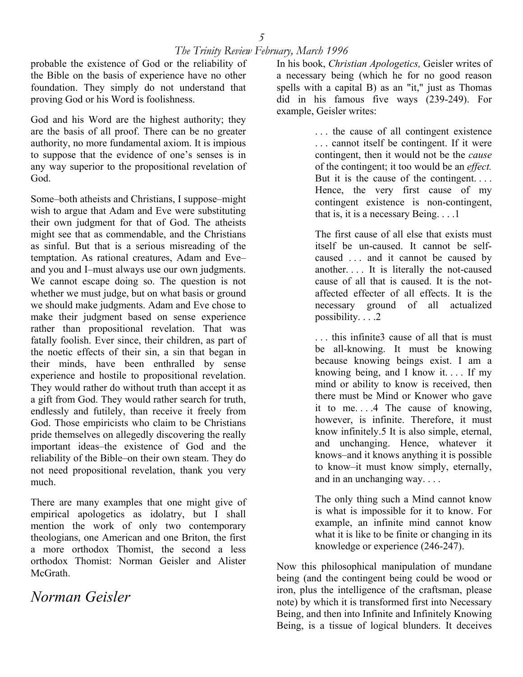probable the existence of God or the reliability of the Bible on the basis of experience have no other foundation. They simply do not understand that proving God or his Word is foolishness.

God and his Word are the highest authority; they are the basis of all proof. There can be no greater authority, no more fundamental axiom. It is impious to suppose that the evidence of one's senses is in any way superior to the propositional revelation of God.

Some–both atheists and Christians, I suppose–might wish to argue that Adam and Eve were substituting their own judgment for that of God. The atheists might see that as commendable, and the Christians as sinful. But that is a serious misreading of the temptation. As rational creatures, Adam and Eve– and you and I–must always use our own judgments. We cannot escape doing so. The question is not whether we must judge, but on what basis or ground we should make judgments. Adam and Eve chose to make their judgment based on sense experience rather than propositional revelation. That was fatally foolish. Ever since, their children, as part of the noetic effects of their sin, a sin that began in their minds, have been enthralled by sense experience and hostile to propositional revelation. They would rather do without truth than accept it as a gift from God. They would rather search for truth, endlessly and futilely, than receive it freely from God. Those empiricists who claim to be Christians pride themselves on allegedly discovering the really important ideas–the existence of God and the reliability of the Bible–on their own steam. They do not need propositional revelation, thank you very much.

There are many examples that one might give of empirical apologetics as idolatry, but I shall mention the work of only two contemporary theologians, one American and one Briton, the first a more orthodox Thomist, the second a less orthodox Thomist: Norman Geisler and Alister **McGrath** 

*Norman Geisler* 

In his book, *Christian Apologetics,* Geisler writes of a necessary being (which he for no good reason spells with a capital B) as an "it," just as Thomas did in his famous five ways (239-249). For example, Geisler writes:

> . . . the cause of all contingent existence . . . cannot itself be contingent. If it were contingent, then it would not be the *cause*  of the contingent; it too would be an *effect.*  But it is the cause of the contingent.... Hence, the very first cause of my contingent existence is non-contingent, that is, it is a necessary Being. . . .1

> The first cause of all else that exists must itself be un-caused. It cannot be selfcaused . . . and it cannot be caused by another. . . . It is literally the not-caused cause of all that is caused. It is the notaffected effecter of all effects. It is the necessary ground of all actualized possibility. . . .2

> . . . this infinite3 cause of all that is must be all-knowing. It must be knowing because knowing beings exist. I am a knowing being, and I know it... If my mind or ability to know is received, then there must be Mind or Knower who gave it to me. . . .4 The cause of knowing, however, is infinite. Therefore, it must know infinitely.5 It is also simple, eternal, and unchanging. Hence, whatever it knows–and it knows anything it is possible to know–it must know simply, eternally, and in an unchanging way. . . .

> The only thing such a Mind cannot know is what is impossible for it to know. For example, an infinite mind cannot know what it is like to be finite or changing in its knowledge or experience (246-247).

Now this philosophical manipulation of mundane being (and the contingent being could be wood or iron, plus the intelligence of the craftsman, please note) by which it is transformed first into Necessary Being, and then into Infinite and Infinitely Knowing Being, is a tissue of logical blunders. It deceives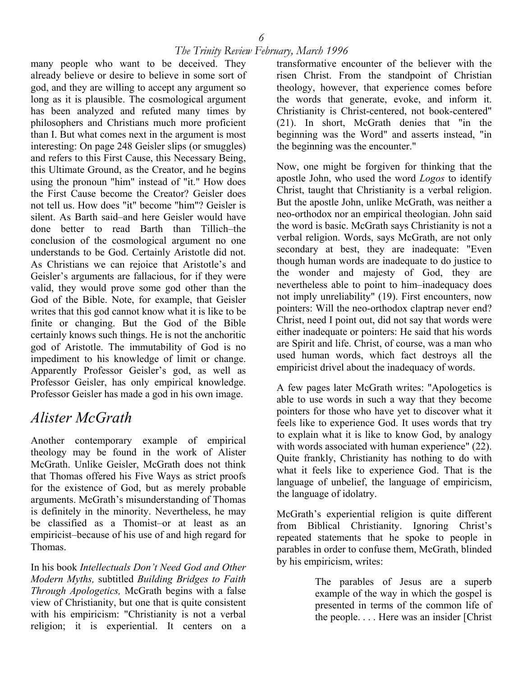many people who want to be deceived. They already believe or desire to believe in some sort of god, and they are willing to accept any argument so long as it is plausible. The cosmological argument has been analyzed and refuted many times by philosophers and Christians much more proficient than I. But what comes next in the argument is most interesting: On page 248 Geisler slips (or smuggles) and refers to this First Cause, this Necessary Being, this Ultimate Ground, as the Creator, and he begins using the pronoun "him" instead of "it." How does the First Cause become the Creator? Geisler does not tell us. How does "it" become "him"? Geisler is silent. As Barth said–and here Geisler would have done better to read Barth than Tillich–the conclusion of the cosmological argument no one understands to be God. Certainly Aristotle did not. As Christians we can rejoice that Aristotle's and Geisler's arguments are fallacious, for if they were valid, they would prove some god other than the God of the Bible. Note, for example, that Geisler writes that this god cannot know what it is like to be finite or changing. But the God of the Bible certainly knows such things. He is not the anchoritic god of Aristotle. The immutability of God is no impediment to his knowledge of limit or change. Apparently Professor Geisler's god, as well as Professor Geisler, has only empirical knowledge. Professor Geisler has made a god in his own image.

### *Alister McGrath*

Another contemporary example of empirical theology may be found in the work of Alister McGrath. Unlike Geisler, McGrath does not think that Thomas offered his Five Ways as strict proofs for the existence of God, but as merely probable arguments. McGrath's misunderstanding of Thomas is definitely in the minority. Nevertheless, he may be classified as a Thomist–or at least as an empiricist–because of his use of and high regard for Thomas.

In his book *Intellectuals Don't Need God and Other Modern Myths,* subtitled *Building Bridges to Faith Through Apologetics,* McGrath begins with a false view of Christianity, but one that is quite consistent with his empiricism: "Christianity is not a verbal religion; it is experiential. It centers on a

transformative encounter of the believer with the risen Christ. From the standpoint of Christian theology, however, that experience comes before the words that generate, evoke, and inform it. Christianity is Christ-centered, not book-centered" (21). In short, McGrath denies that "in the beginning was the Word" and asserts instead, "in the beginning was the encounter."

Now, one might be forgiven for thinking that the apostle John, who used the word *Logos* to identify Christ, taught that Christianity is a verbal religion. But the apostle John, unlike McGrath, was neither a neo-orthodox nor an empirical theologian. John said the word is basic. McGrath says Christianity is not a verbal religion. Words, says McGrath, are not only secondary at best, they are inadequate: "Even though human words are inadequate to do justice to the wonder and majesty of God, they are nevertheless able to point to him–inadequacy does not imply unreliability" (19). First encounters, now pointers: Will the neo-orthodox claptrap never end? Christ, need I point out, did not say that words were either inadequate or pointers: He said that his words are Spirit and life. Christ, of course, was a man who used human words, which fact destroys all the empiricist drivel about the inadequacy of words.

A few pages later McGrath writes: "Apologetics is able to use words in such a way that they become pointers for those who have yet to discover what it feels like to experience God. It uses words that try to explain what it is like to know God, by analogy with words associated with human experience" (22). Quite frankly, Christianity has nothing to do with what it feels like to experience God. That is the language of unbelief, the language of empiricism, the language of idolatry.

McGrath's experiential religion is quite different from Biblical Christianity. Ignoring Christ's repeated statements that he spoke to people in parables in order to confuse them, McGrath, blinded by his empiricism, writes:

> The parables of Jesus are a superb example of the way in which the gospel is presented in terms of the common life of the people. . . . Here was an insider [Christ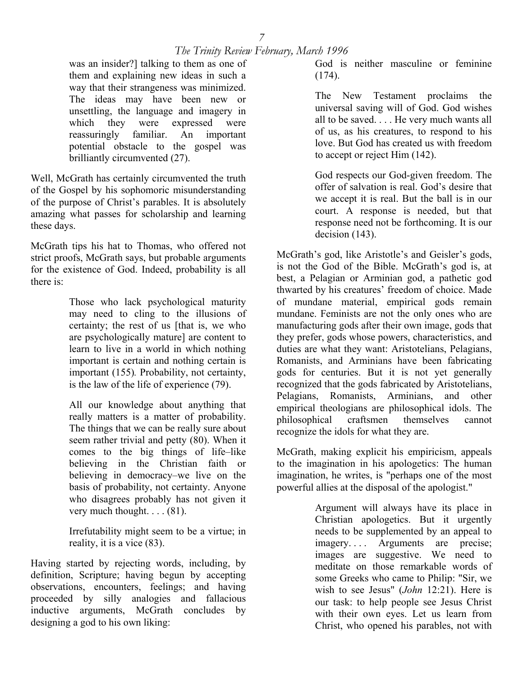was an insider?] talking to them as one of them and explaining new ideas in such a way that their strangeness was minimized. The ideas may have been new or unsettling, the language and imagery in which they were expressed were reassuringly familiar. An important potential obstacle to the gospel was brilliantly circumvented (27).

Well, McGrath has certainly circumvented the truth of the Gospel by his sophomoric misunderstanding of the purpose of Christ's parables. It is absolutely amazing what passes for scholarship and learning these days.

McGrath tips his hat to Thomas, who offered not strict proofs, McGrath says, but probable arguments for the existence of God. Indeed, probability is all there is:

> Those who lack psychological maturity may need to cling to the illusions of certainty; the rest of us [that is, we who are psychologically mature] are content to learn to live in a world in which nothing important is certain and nothing certain is important (155)*.* Probability, not certainty, is the law of the life of experience (79).

> All our knowledge about anything that really matters is a matter of probability. The things that we can be really sure about seem rather trivial and petty (80). When it comes to the big things of life–like believing in the Christian faith or believing in democracy–we live on the basis of probability, not certainty. Anyone who disagrees probably has not given it very much thought. . . . (81).

Irrefutability might seem to be a virtue; in reality, it is a vice (83).

Having started by rejecting words, including, by definition, Scripture; having begun by accepting observations, encounters, feelings; and having proceeded by silly analogies and fallacious inductive arguments, McGrath concludes by designing a god to his own liking:

God is neither masculine or feminine (174).

The New Testament proclaims the universal saving will of God. God wishes all to be saved. . . . He very much wants all of us, as his creatures, to respond to his love. But God has created us with freedom to accept or reject Him (142).

God respects our God-given freedom. The offer of salvation is real. God's desire that we accept it is real. But the ball is in our court. A response is needed, but that response need not be forthcoming. It is our decision (143).

McGrath's god, like Aristotle's and Geisler's gods, is not the God of the Bible. McGrath's god is, at best, a Pelagian or Arminian god, a pathetic god thwarted by his creatures' freedom of choice. Made of mundane material, empirical gods remain mundane. Feminists are not the only ones who are manufacturing gods after their own image, gods that they prefer, gods whose powers, characteristics, and duties are what they want: Aristotelians, Pelagians, Romanists, and Arminians have been fabricating gods for centuries. But it is not yet generally recognized that the gods fabricated by Aristotelians, Pelagians, Romanists, Arminians, and other empirical theologians are philosophical idols. The philosophical craftsmen themselves cannot recognize the idols for what they are.

McGrath, making explicit his empiricism, appeals to the imagination in his apologetics: The human imagination, he writes, is "perhaps one of the most powerful allies at the disposal of the apologist."

> Argument will always have its place in Christian apologetics. But it urgently needs to be supplemented by an appeal to imagery.... Arguments are precise; images are suggestive. We need to meditate on those remarkable words of some Greeks who came to Philip: "Sir, we wish to see Jesus" (*John* 12:21). Here is our task: to help people see Jesus Christ with their own eyes. Let us learn from Christ, who opened his parables, not with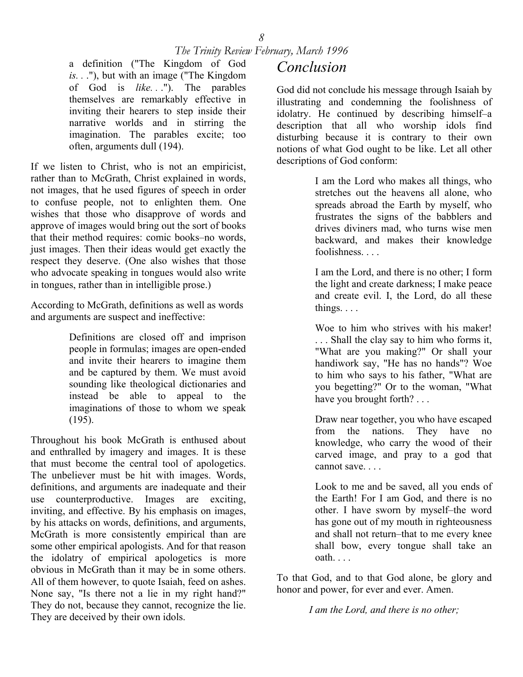a definition ("The Kingdom of God *is. .* ."), but with an image ("The Kingdom of God is *like. .* ."). The parables themselves are remarkably effective in inviting their hearers to step inside their narrative worlds and in stirring the imagination. The parables excite; too often, arguments dull (194).

If we listen to Christ, who is not an empiricist, rather than to McGrath, Christ explained in words, not images, that he used figures of speech in order to confuse people, not to enlighten them. One wishes that those who disapprove of words and approve of images would bring out the sort of books that their method requires: comic books–no words, just images. Then their ideas would get exactly the respect they deserve. (One also wishes that those who advocate speaking in tongues would also write in tongues, rather than in intelligible prose.)

According to McGrath, definitions as well as words and arguments are suspect and ineffective:

> Definitions are closed off and imprison people in formulas; images are open-ended and invite their hearers to imagine them and be captured by them. We must avoid sounding like theological dictionaries and instead be able to appeal to the imaginations of those to whom we speak (195).

Throughout his book McGrath is enthused about and enthralled by imagery and images. It is these that must become the central tool of apologetics. The unbeliever must be hit with images. Words, definitions, and arguments are inadequate and their use counterproductive. Images are exciting, inviting, and effective. By his emphasis on images, by his attacks on words, definitions, and arguments, McGrath is more consistently empirical than are some other empirical apologists. And for that reason the idolatry of empirical apologetics is more obvious in McGrath than it may be in some others. All of them however, to quote Isaiah, feed on ashes. None say, "Is there not a lie in my right hand?" They do not, because they cannot, recognize the lie. They are deceived by their own idols.

#### *Conclusion*

God did not conclude his message through Isaiah by illustrating and condemning the foolishness of idolatry. He continued by describing himself–a description that all who worship idols find disturbing because it is contrary to their own notions of what God ought to be like. Let all other descriptions of God conform:

> I am the Lord who makes all things, who stretches out the heavens all alone, who spreads abroad the Earth by myself, who frustrates the signs of the babblers and drives diviners mad, who turns wise men backward, and makes their knowledge foolishness. . . .

> I am the Lord, and there is no other; I form the light and create darkness; I make peace and create evil. I, the Lord, do all these things. . . .

> Woe to him who strives with his maker! . . . Shall the clay say to him who forms it, "What are you making?" Or shall your handiwork say, "He has no hands"? Woe to him who says to his father, "What are you begetting?" Or to the woman, "What have you brought forth? . . .

> Draw near together, you who have escaped from the nations. They have no knowledge, who carry the wood of their carved image, and pray to a god that cannot save. . . .

> Look to me and be saved, all you ends of the Earth! For I am God, and there is no other. I have sworn by myself–the word has gone out of my mouth in righteousness and shall not return–that to me every knee shall bow, every tongue shall take an  $oath.$ ...

To that God, and to that God alone, be glory and honor and power, for ever and ever. Amen.

*I am the Lord, and there is no other;*